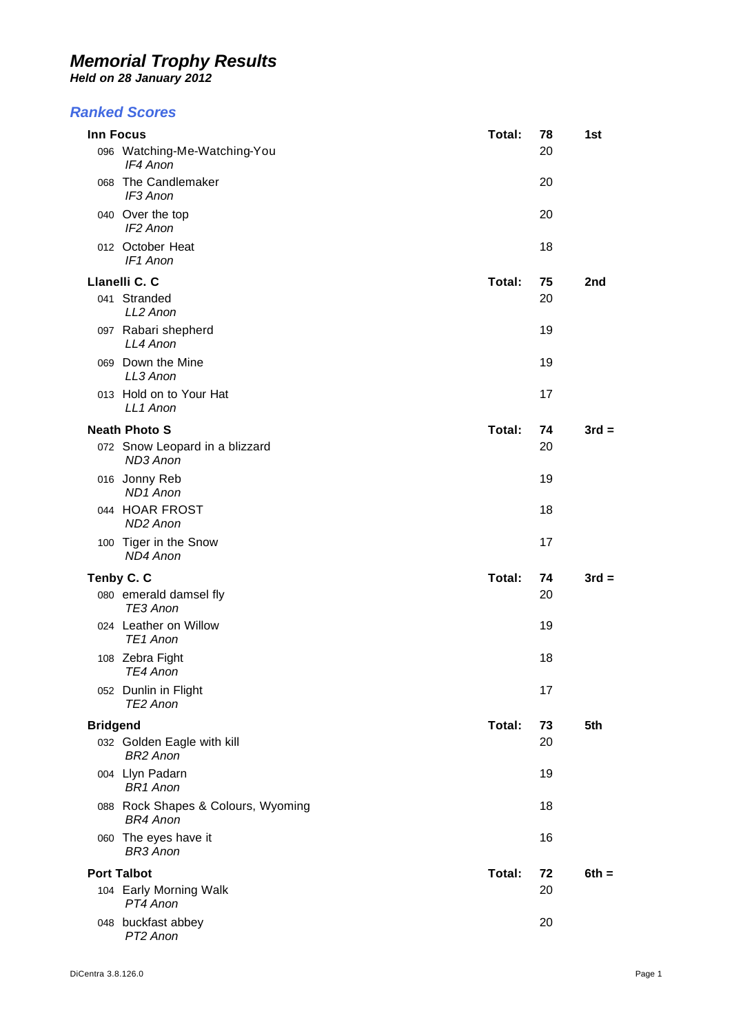*Held on 28 January 2012* 

#### *Ranked Scores*

| Inn Focus                                             | Total: | 78 | 1st             |
|-------------------------------------------------------|--------|----|-----------------|
| 096 Watching-Me-Watching-You<br>IF4 Anon              |        | 20 |                 |
| 068 The Candlemaker<br>IF3 Anon                       |        | 20 |                 |
| 040 Over the top<br>IF2 Anon                          |        | 20 |                 |
| 012 October Heat<br>IF1 Anon                          |        | 18 |                 |
| Llanelli C. C                                         | Total: | 75 | 2 <sub>nd</sub> |
| 041 Stranded<br>LL2 Anon                              |        | 20 |                 |
| 097 Rabari shepherd<br>LL4 Anon                       |        | 19 |                 |
| 069 Down the Mine<br>LL3 Anon                         |        | 19 |                 |
| 013 Hold on to Your Hat<br>LL1 Anon                   |        | 17 |                 |
| <b>Neath Photo S</b>                                  | Total: | 74 | $3rd =$         |
| 072 Snow Leopard in a blizzard<br>ND3 Anon            |        | 20 |                 |
| 016 Jonny Reb<br><b>ND1</b> Anon                      |        | 19 |                 |
| 044 HOAR FROST<br>ND <sub>2</sub> Anon                |        | 18 |                 |
| 100 Tiger in the Snow<br>ND4 Anon                     |        | 17 |                 |
| Tenby C. C                                            | Total: | 74 | $3rd =$         |
| 080 emerald damsel fly<br>TE3 Anon                    |        | 20 |                 |
| 024 Leather on Willow<br>TE <sub>1</sub> Anon         |        | 19 |                 |
| 108 Zebra Fight<br>TE4 Anon                           |        | 18 |                 |
| 052 Dunlin in Flight<br>TE2 Anon                      |        | 17 |                 |
| <b>Bridgend</b>                                       | Total: | 73 | 5th             |
| 032 Golden Eagle with kill<br><b>BR2 Anon</b>         |        | 20 |                 |
| 004 Llyn Padarn<br><b>BR1</b> Anon                    |        | 19 |                 |
| 088 Rock Shapes & Colours, Wyoming<br><b>BR4 Anon</b> |        | 18 |                 |
| 060 The eyes have it<br><b>BR3 Anon</b>               |        | 16 |                 |
| <b>Port Talbot</b>                                    | Total: | 72 | $6th =$         |
| 104 Early Morning Walk<br>PT4 Anon                    |        | 20 |                 |
| 048 buckfast abbey<br>PT2 Anon                        |        | 20 |                 |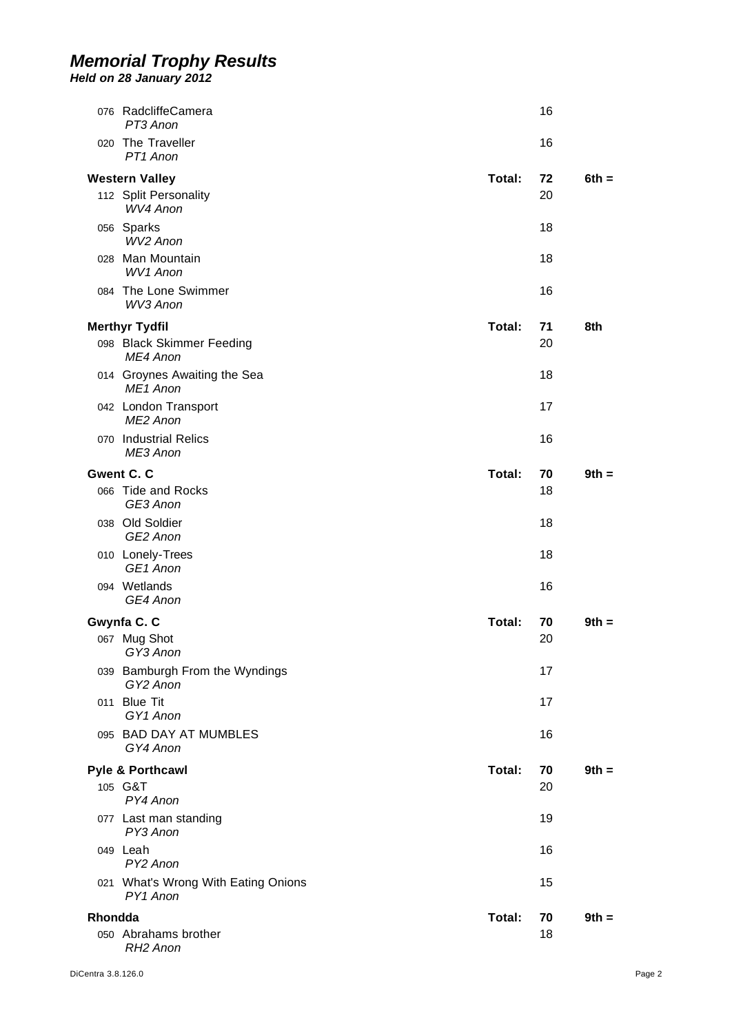|         | 076 RadcliffeCamera<br>PT3 Anon                            |        | 16       |         |
|---------|------------------------------------------------------------|--------|----------|---------|
|         | 020 The Traveller<br>PT1 Anon                              |        | 16       |         |
|         |                                                            |        |          |         |
|         | <b>Western Valley</b><br>112 Split Personality<br>WV4 Anon | Total: | 72<br>20 | $6th =$ |
|         | 056 Sparks<br>WV <sub>2</sub> Anon                         |        | 18       |         |
|         | 028 Man Mountain<br><b>WV1 Anon</b>                        |        | 18       |         |
|         | 084 The Lone Swimmer<br>WV3 Anon                           |        | 16       |         |
|         | <b>Merthyr Tydfil</b>                                      | Total: | 71       | 8th     |
|         | 098 Black Skimmer Feeding<br>MF4 Anon                      |        | 20       |         |
|         | 014 Groynes Awaiting the Sea<br>ME <sub>1</sub> Anon       |        | 18       |         |
|         | 042 London Transport<br>ME <sub>2</sub> Anon               |        | 17       |         |
|         | 070 Industrial Relics<br>ME3 Anon                          |        | 16       |         |
|         | Gwent C. C                                                 | Total: | 70       | $9th =$ |
|         | 066 Tide and Rocks<br>GE3 Anon                             |        | 18       |         |
|         | 038 Old Soldier<br>GE2 Anon                                |        | 18       |         |
|         | 010 Lonely-Trees<br>GE <sub>1</sub> Anon                   |        | 18       |         |
|         | 094 Wetlands<br>GE4 Anon                                   |        | 16       |         |
|         | Gwynfa C. C                                                | Total: | 70       | $9th =$ |
|         | 067 Mug Shot<br>GY3 Anon                                   |        | 20       |         |
|         | 039 Bamburgh From the Wyndings<br>GY2 Anon                 |        | 17       |         |
|         | 011 Blue Tit<br>GY1 Anon                                   |        | 17       |         |
|         | 095 BAD DAY AT MUMBLES<br>GY4 Anon                         |        | 16       |         |
|         | Pyle & Porthcawl                                           | Total: | 70       | $9th =$ |
|         | 105 G&T<br>PY4 Anon                                        |        | 20       |         |
|         | 077 Last man standing<br>PY3 Anon                          |        | 19       |         |
|         | 049 Leah<br>PY2 Anon                                       |        | 16       |         |
|         | 021 What's Wrong With Eating Onions<br>PY1 Anon            |        | 15       |         |
|         |                                                            |        |          |         |
| Rhondda |                                                            | Total: | 70       | $9th =$ |
|         | 050 Abrahams brother<br>RH <sub>2</sub> Anon               |        | 18       |         |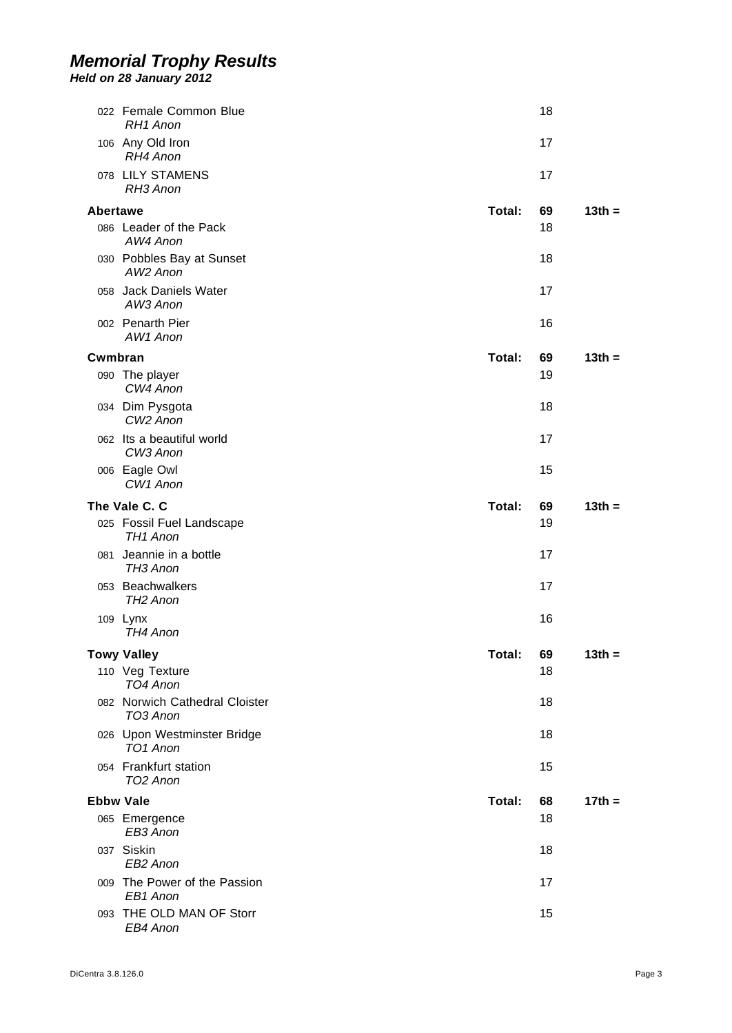|                  | 022 Female Common Blue<br>RH <sub>1</sub> Anon      |        | 18 |          |
|------------------|-----------------------------------------------------|--------|----|----------|
|                  | 106 Any Old Iron<br>RH4 Anon                        |        | 17 |          |
|                  | 078 LILY STAMENS<br>RH3 Anon                        |        | 17 |          |
| Abertawe         |                                                     | Total: | 69 | $13th =$ |
|                  | 086 Leader of the Pack<br>AW4 Anon                  |        | 18 |          |
|                  | 030 Pobbles Bay at Sunset<br>AW <sub>2</sub> Anon   |        | 18 |          |
|                  | 058 Jack Daniels Water<br>AW3 Anon                  |        | 17 |          |
|                  | 002 Penarth Pier<br>AW1 Anon                        |        | 16 |          |
| Cwmbran          |                                                     | Total: | 69 | $13th =$ |
|                  | 090 The player<br>CW4 Anon                          |        | 19 |          |
|                  | 034 Dim Pysgota<br>CW <sub>2</sub> Anon             |        | 18 |          |
|                  | 062 Its a beautiful world<br>CW3 Anon               |        | 17 |          |
|                  | 006 Eagle Owl<br>CW <sub>1</sub> Anon               |        | 15 |          |
|                  | The Vale C. C                                       | Total: | 69 | $13th =$ |
|                  | 025 Fossil Fuel Landscape<br>TH <sub>1</sub> Anon   |        | 19 |          |
|                  | 081 Jeannie in a bottle<br>TH <sub>3</sub> Anon     |        | 17 |          |
|                  | 053 Beachwalkers<br>TH <sub>2</sub> Anon            |        | 17 |          |
|                  | 109 Lynx<br>TH4 Anon                                |        | 16 |          |
|                  | <b>Towy Valley</b>                                  | Total: | 69 | $13th =$ |
|                  | 110 Veg Texture<br>TO4 Anon                         |        | 18 |          |
|                  | 082 Norwich Cathedral Cloister<br>TO3 Anon          |        | 18 |          |
|                  | 026 Upon Westminster Bridge<br>TO <sub>1</sub> Anon |        | 18 |          |
|                  | 054 Frankfurt station<br>TO <sub>2</sub> Anon       |        | 15 |          |
| <b>Ebbw Vale</b> |                                                     | Total: | 68 | $17th =$ |
|                  | 065 Emergence<br>EB3 Anon                           |        | 18 |          |
|                  | 037 Siskin<br>EB <sub>2</sub> Anon                  |        | 18 |          |
|                  | 009 The Power of the Passion<br>EB1 Anon            |        | 17 |          |
|                  | 093 THE OLD MAN OF Storr<br>EB4 Anon                |        | 15 |          |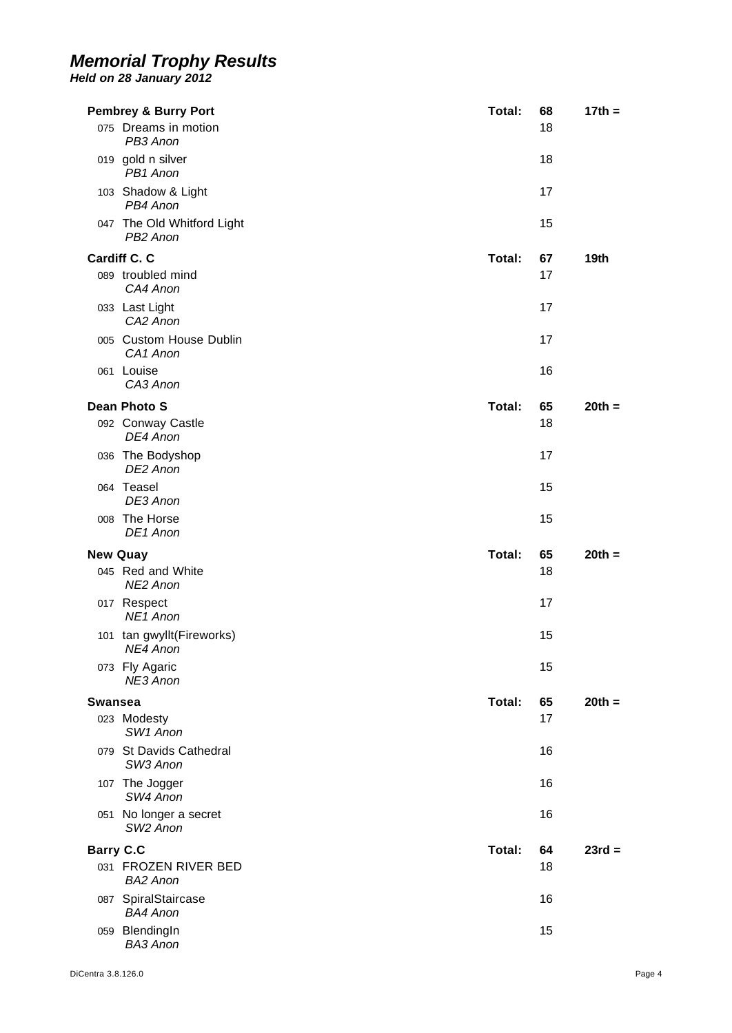|                  | <b>Pembrey &amp; Burry Port</b>                    | Total: | 68 | $17th =$ |
|------------------|----------------------------------------------------|--------|----|----------|
|                  | 075 Dreams in motion<br>PB3 Anon                   |        | 18 |          |
|                  | 019 gold n silver<br>PB1 Anon                      |        | 18 |          |
|                  | 103 Shadow & Light<br>PB4 Anon                     |        | 17 |          |
|                  | 047 The Old Whitford Light<br>PB <sub>2</sub> Anon |        | 15 |          |
|                  | Cardiff C. C                                       | Total: | 67 | 19th     |
|                  | 089 troubled mind<br>CA4 Anon                      |        | 17 |          |
|                  | 033 Last Light<br>CA <sub>2</sub> Anon             |        | 17 |          |
|                  | 005 Custom House Dublin<br>CA <sub>1</sub> Anon    |        | 17 |          |
|                  | 061 Louise<br>CA3 Anon                             |        | 16 |          |
|                  | <b>Dean Photo S</b>                                | Total: | 65 | $20th =$ |
|                  | 092 Conway Castle<br>DE4 Anon                      |        | 18 |          |
|                  | 036 The Bodyshop<br>DE2 Anon                       |        | 17 |          |
|                  | 064 Teasel<br>DE3 Anon                             |        | 15 |          |
|                  | 008 The Horse<br>DE1 Anon                          |        | 15 |          |
| <b>New Quay</b>  |                                                    | Total: | 65 | $20th =$ |
|                  | 045 Red and White<br>NE2 Anon                      |        | 18 |          |
|                  | 017 Respect<br>NE <sub>1</sub> Anon                |        | 17 |          |
|                  | 101 tan gwyllt(Fireworks)<br>NE4 Anon              |        | 15 |          |
|                  | 073 Fly Agaric<br>NE3 Anon                         |        | 15 |          |
| <b>Swansea</b>   |                                                    | Total: | 65 | $20th =$ |
|                  | 023 Modesty<br>SW1 Anon                            |        | 17 |          |
|                  | 079 St Davids Cathedral<br>SW <sub>3</sub> Anon    |        | 16 |          |
|                  | 107 The Jogger<br>SW4 Anon                         |        | 16 |          |
|                  | 051 No longer a secret<br>SW <sub>2</sub> Anon     |        | 16 |          |
| <b>Barry C.C</b> |                                                    | Total: | 64 | $23rd =$ |
|                  | 031 FROZEN RIVER BED<br><b>BA2 Anon</b>            |        | 18 |          |
|                  | 087 SpiralStaircase<br><b>BA4 Anon</b>             |        | 16 |          |
|                  | 059 BlendingIn<br><b>BA3 Anon</b>                  |        | 15 |          |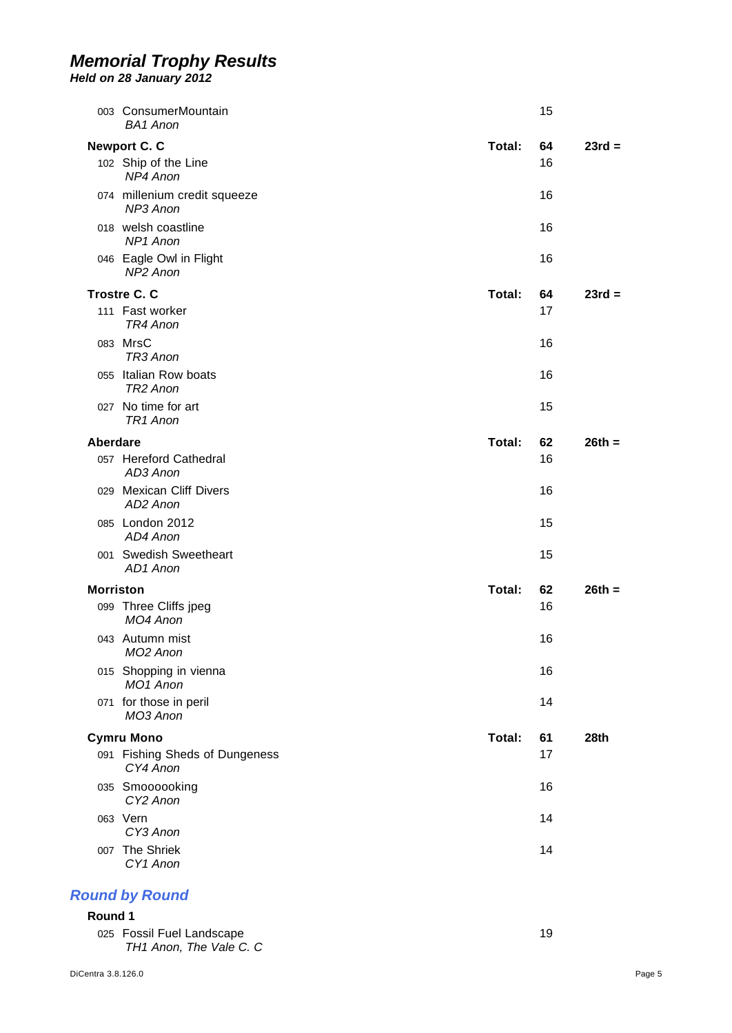*Held on 28 January 2012* 

|                  | 003 ConsumerMountain<br><b>BA1 Anon</b>        |        | 15 |          |
|------------------|------------------------------------------------|--------|----|----------|
|                  | <b>Newport C. C</b>                            | Total: | 64 | $23rd =$ |
|                  | 102 Ship of the Line<br>NP4 Anon               |        | 16 |          |
|                  | 074 millenium credit squeeze<br>NP3 Anon       |        | 16 |          |
|                  | 018 welsh coastline<br>NP <sub>1</sub> Anon    |        | 16 |          |
|                  | 046 Eagle Owl in Flight<br>NP2 Anon            |        | 16 |          |
|                  | <b>Trostre C. C</b>                            | Total: | 64 | $23rd =$ |
|                  | 111 Fast worker<br>TR4 Anon                    |        | 17 |          |
|                  | 083 MrsC<br>TR3 Anon                           |        | 16 |          |
|                  | 055 Italian Row boats<br>TR <sub>2</sub> Anon  |        | 16 |          |
|                  | 027 No time for art<br>TR <sub>1</sub> Anon    |        | 15 |          |
| <b>Aberdare</b>  |                                                | Total: | 62 | $26th =$ |
|                  | 057 Hereford Cathedral<br>AD3 Anon             |        | 16 |          |
|                  | 029 Mexican Cliff Divers<br>AD2 Anon           |        | 16 |          |
|                  | 085 London 2012<br>AD4 Anon                    |        | 15 |          |
|                  | 001 Swedish Sweetheart<br>AD1 Anon             |        | 15 |          |
| <b>Morriston</b> |                                                | Total: | 62 | $26th =$ |
|                  | 099 Three Cliffs jpeg<br>MO4 Anon              |        | 16 |          |
|                  | 043 Autumn mist<br>MO2 Anon                    |        | 16 |          |
|                  | 015 Shopping in vienna<br>MO <sub>1</sub> Anon |        | 16 |          |
|                  | 071 for those in peril<br>MO3 Anon             |        | 14 |          |
|                  | <b>Cymru Mono</b>                              | Total: | 61 | 28th     |
|                  | 091 Fishing Sheds of Dungeness<br>CY4 Anon     |        | 17 |          |
|                  | 035 Smoooooking<br>CY <sub>2</sub> Anon        |        | 16 |          |
|                  | 063 Vern<br>CY3 Anon                           |        | 14 |          |
|                  | 007 The Shriek<br>CY1 Anon                     |        | 14 |          |
|                  |                                                |        |    |          |

# *Round by Round*

#### **Round 1**  025 Fossil Fuel Landscape 19 *TH1 Anon, The Vale C. C*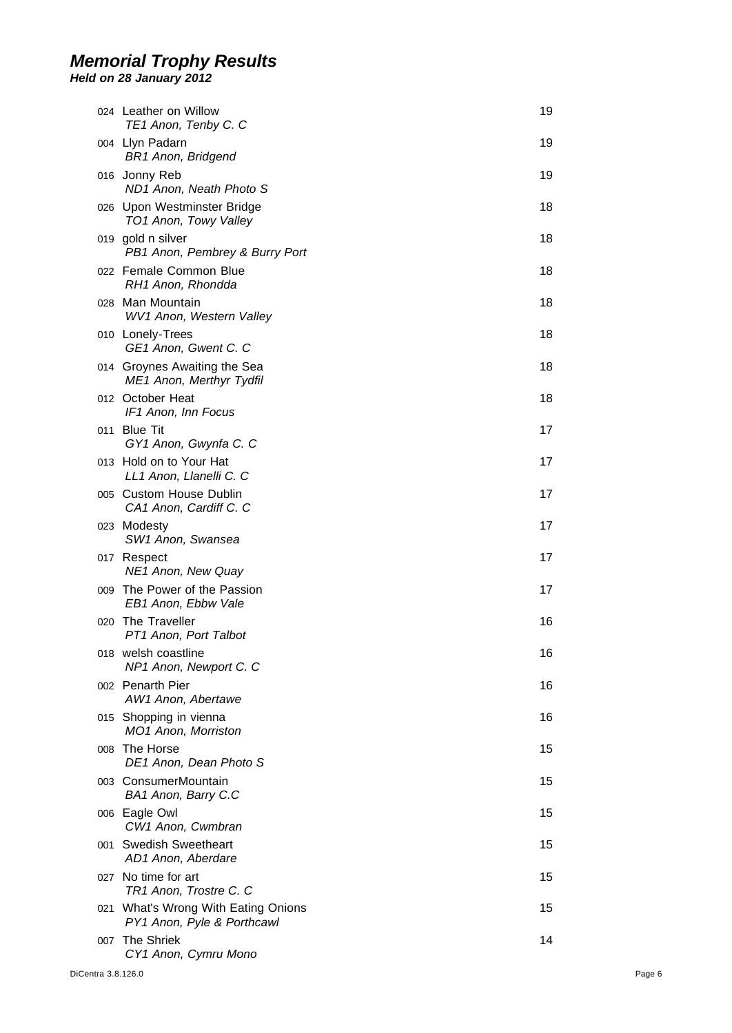|     | 024 Leather on Willow<br>TE1 Anon, Tenby C. C                     | 19 |
|-----|-------------------------------------------------------------------|----|
|     | 004 Llyn Padarn<br><b>BR1 Anon, Bridgend</b>                      | 19 |
|     | 016 Jonny Reb<br>ND1 Anon, Neath Photo S                          | 19 |
|     | 026 Upon Westminster Bridge<br>TO1 Anon, Towy Valley              | 18 |
|     | 019 gold n silver<br>PB1 Anon, Pembrey & Burry Port               | 18 |
|     | 022 Female Common Blue<br>RH1 Anon, Rhondda                       | 18 |
|     | 028 Man Mountain<br>WV1 Anon, Western Valley                      | 18 |
|     | 010 Lonely-Trees<br>GE1 Anon, Gwent C. C                          | 18 |
|     | 014 Groynes Awaiting the Sea<br><b>ME1 Anon, Merthyr Tydfil</b>   | 18 |
|     | 012 October Heat<br>IF1 Anon, Inn Focus                           | 18 |
|     | 011 Blue Tit<br>GY1 Anon, Gwynfa C. C                             | 17 |
|     | 013 Hold on to Your Hat<br>LL1 Anon, Llanelli C. C                | 17 |
|     | 005 Custom House Dublin<br>CA1 Anon, Cardiff C. C                 | 17 |
|     | 023 Modesty<br>SW1 Anon, Swansea                                  | 17 |
|     | 017 Respect<br>NE1 Anon, New Quay                                 | 17 |
|     | 009 The Power of the Passion<br>EB1 Anon, Ebbw Vale               | 17 |
|     | 020 The Traveller<br>PT1 Anon, Port Talbot                        | 16 |
|     | 018 welsh coastline<br>NP1 Anon, Newport C. C                     | 16 |
|     | 002 Penarth Pier<br>AW1 Anon, Abertawe                            | 16 |
|     | 015 Shopping in vienna<br>MO1 Anon, Morriston                     | 16 |
| 008 | The Horse<br>DE1 Anon, Dean Photo S                               | 15 |
|     | 003 ConsumerMountain<br>BA1 Anon, Barry C.C                       | 15 |
|     | 006 Eagle Owl<br>CW1 Anon, Cwmbran                                | 15 |
|     | 001 Swedish Sweetheart<br>AD1 Anon, Aberdare                      | 15 |
|     | 027 No time for art<br>TR1 Anon, Trostre C. C                     | 15 |
|     | 021 What's Wrong With Eating Onions<br>PY1 Anon, Pyle & Porthcawl | 15 |
| 007 | <b>The Shriek</b><br>CY1 Anon, Cymru Mono                         | 14 |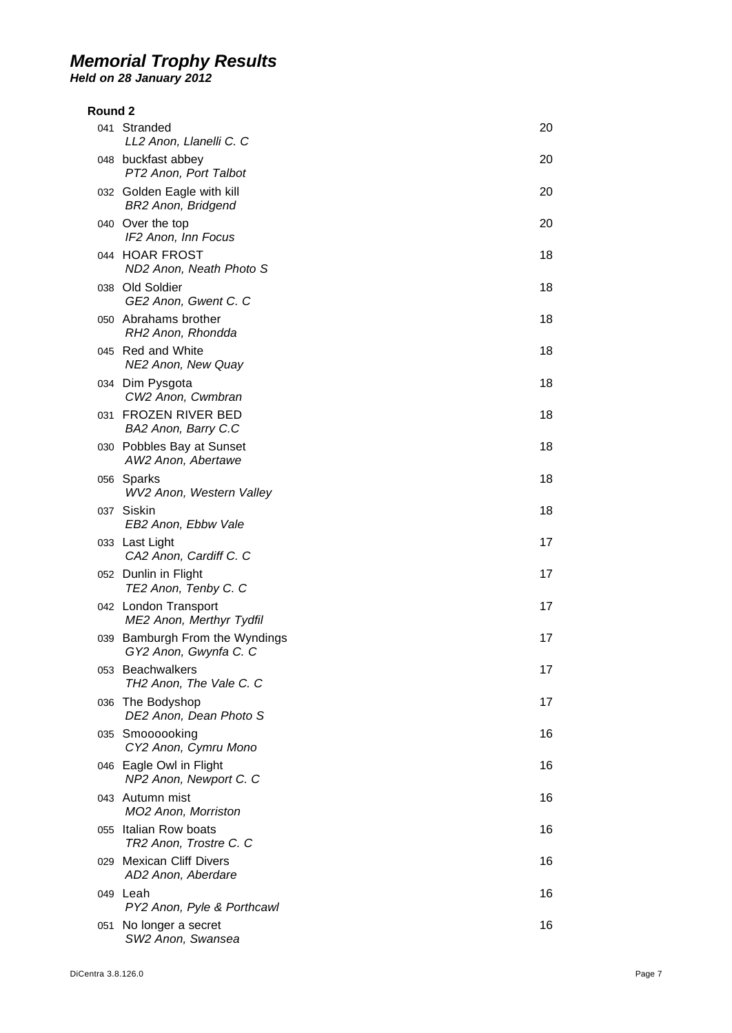| Round 2 |                                                         |    |
|---------|---------------------------------------------------------|----|
|         | 041 Stranded<br>LL2 Anon, Llanelli C. C                 | 20 |
|         | 048 buckfast abbey<br>PT2 Anon, Port Talbot             | 20 |
|         | 032 Golden Eagle with kill<br><b>BR2 Anon, Bridgend</b> | 20 |
|         | 040 Over the top<br>IF2 Anon, Inn Focus                 | 20 |
|         | 044 HOAR FROST<br>ND2 Anon, Neath Photo S               | 18 |
|         | 038 Old Soldier<br>GE2 Anon, Gwent C. C                 | 18 |
|         | 050 Abrahams brother<br>RH2 Anon, Rhondda               | 18 |
|         | 045 Red and White<br>NE2 Anon, New Quay                 | 18 |
|         | 034 Dim Pysgota<br>CW2 Anon, Cwmbran                    | 18 |
|         | 031 FROZEN RIVER BED<br>BA2 Anon, Barry C.C             | 18 |
|         | 030 Pobbles Bay at Sunset<br>AW2 Anon, Abertawe         | 18 |
|         | 056 Sparks<br>WV2 Anon, Western Valley                  | 18 |
|         | 037 Siskin<br>EB2 Anon, Ebbw Vale                       | 18 |
|         | 033 Last Light<br>CA2 Anon, Cardiff C. C                | 17 |
|         | 052 Dunlin in Flight<br>TE2 Anon, Tenby C. C            | 17 |
|         | 042 London Transport<br>ME2 Anon, Merthyr Tydfil        | 17 |
|         | 039 Bamburgh From the Wyndings<br>GY2 Anon, Gwynfa C. C | 17 |
|         | 053 Beachwalkers<br>TH2 Anon, The Vale C. C             | 17 |
|         | 036 The Bodyshop<br>DE2 Anon, Dean Photo S              | 17 |
|         | 035 Smoooooking<br>CY2 Anon, Cymru Mono                 | 16 |
|         | 046 Eagle Owl in Flight<br>NP2 Anon, Newport C. C       | 16 |
|         | 043 Autumn mist<br>MO2 Anon, Morriston                  | 16 |
|         | 055 Italian Row boats<br>TR2 Anon, Trostre C. C         | 16 |
|         | 029 Mexican Cliff Divers<br>AD2 Anon, Aberdare          | 16 |
|         | 049 Leah<br>PY2 Anon, Pyle & Porthcawl                  | 16 |
| 051     | No longer a secret<br>SW2 Anon, Swansea                 | 16 |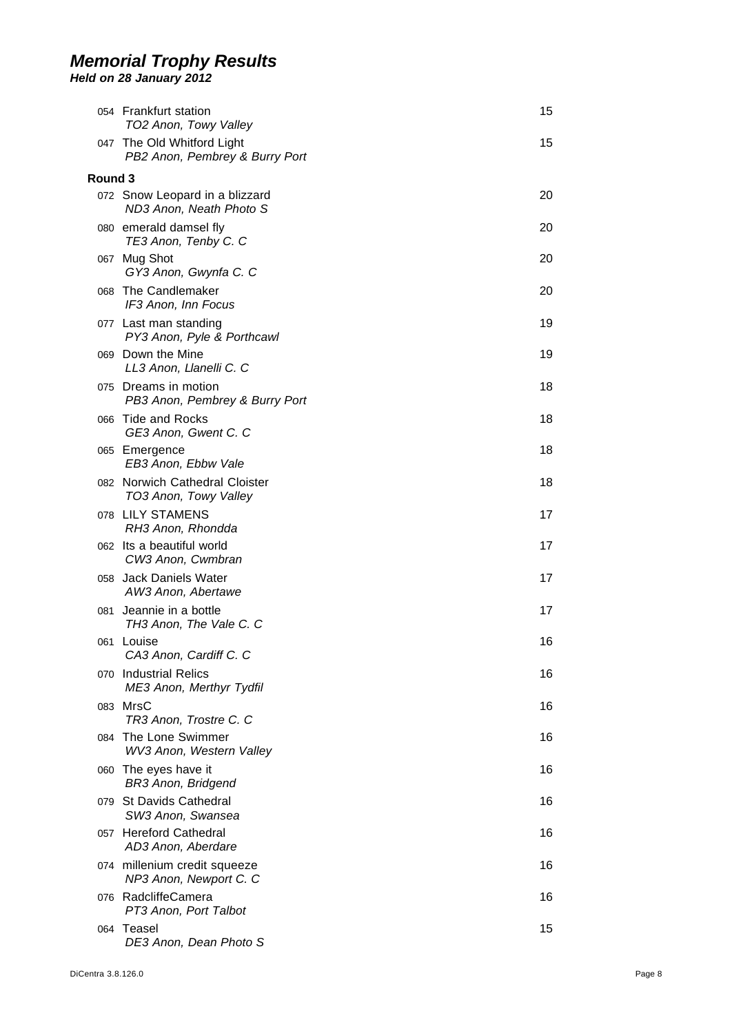|         | 054 Frankfurt station<br>TO2 Anon, Towy Valley               | 15 |
|---------|--------------------------------------------------------------|----|
|         | 047 The Old Whitford Light<br>PB2 Anon, Pembrey & Burry Port | 15 |
| Round 3 |                                                              |    |
|         | 072 Snow Leopard in a blizzard<br>ND3 Anon, Neath Photo S    | 20 |
|         | 080 emerald damsel fly<br>TE3 Anon, Tenby C. C               | 20 |
|         | 067 Mug Shot<br>GY3 Anon, Gwynfa C. C                        | 20 |
| 068     | The Candlemaker<br>IF3 Anon, Inn Focus                       | 20 |
|         | 077 Last man standing<br>PY3 Anon, Pyle & Porthcawl          | 19 |
|         | 069 Down the Mine<br>LL3 Anon, Llanelli C. C                 | 19 |
|         | 075 Dreams in motion<br>PB3 Anon, Pembrey & Burry Port       | 18 |
| 066     | <b>Tide and Rocks</b><br>GE3 Anon, Gwent C. C                | 18 |
|         | 065 Emergence<br>EB3 Anon, Ebbw Vale                         | 18 |
|         | 082 Norwich Cathedral Cloister<br>TO3 Anon, Towy Valley      | 18 |
|         | 078 LILY STAMENS<br>RH3 Anon, Rhondda                        | 17 |
|         | 062 Its a beautiful world<br>CW3 Anon, Cwmbran               | 17 |
|         | 058 Jack Daniels Water<br>AW3 Anon, Abertawe                 | 17 |
| 081     | Jeannie in a bottle<br>TH3 Anon, The Vale C. C               | 17 |
|         | 061 Louise<br>CA3 Anon, Cardiff C. C                         | 16 |
|         | 070 Industrial Relics<br>ME3 Anon, Merthyr Tydfil            | 16 |
| 083     | MrsC<br>TR3 Anon, Trostre C. C                               | 16 |
| 084     | The Lone Swimmer<br>WV3 Anon, Western Valley                 | 16 |
|         | 060 The eyes have it<br><b>BR3 Anon, Bridgend</b>            | 16 |
|         | 079 St Davids Cathedral<br>SW3 Anon, Swansea                 | 16 |
|         | 057 Hereford Cathedral<br>AD3 Anon, Aberdare                 | 16 |
|         | 074 millenium credit squeeze<br>NP3 Anon, Newport C. C       | 16 |
| 076.    | RadcliffeCamera<br>PT3 Anon, Port Talbot                     | 16 |
|         | 064 Teasel<br>DE3 Anon, Dean Photo S                         | 15 |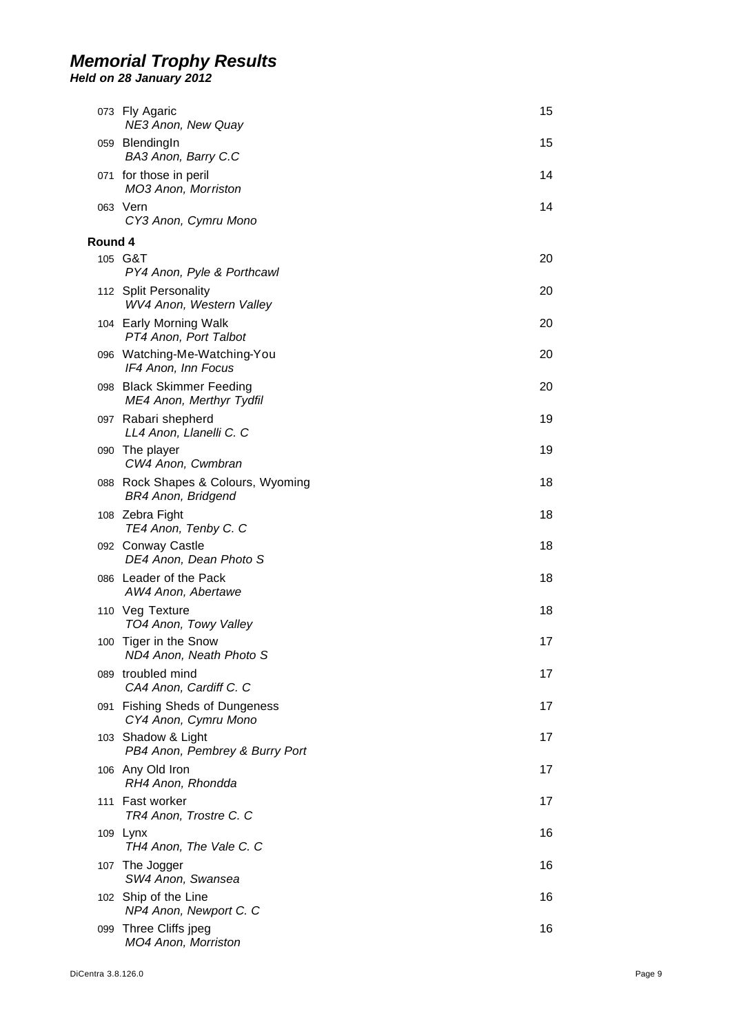|         | 073 Fly Agaric<br>NE3 Anon, New Quay                            | 15 |
|---------|-----------------------------------------------------------------|----|
|         | 059 BlendingIn<br>BA3 Anon, Barry C.C                           | 15 |
|         | 071 for those in peril<br>MO3 Anon, Morriston                   | 14 |
|         | 063 Vern<br>CY3 Anon, Cymru Mono                                | 14 |
| Round 4 |                                                                 |    |
|         | 105 G&T<br>PY4 Anon, Pyle & Porthcawl                           | 20 |
|         | 112 Split Personality<br>WV4 Anon, Western Valley               | 20 |
|         | 104 Early Morning Walk<br>PT4 Anon, Port Talbot                 | 20 |
|         | 096 Watching-Me-Watching-You<br>IF4 Anon, Inn Focus             | 20 |
|         | 098 Black Skimmer Feeding<br>ME4 Anon, Merthyr Tydfil           | 20 |
|         | 097 Rabari shepherd<br>LL4 Anon, Llanelli C. C                  | 19 |
|         | 090 The player<br>CW4 Anon, Cwmbran                             | 19 |
|         | 088 Rock Shapes & Colours, Wyoming<br><b>BR4 Anon, Bridgend</b> | 18 |
|         | 108 Zebra Fight<br>TE4 Anon, Tenby C. C                         | 18 |
|         | 092 Conway Castle<br>DE4 Anon, Dean Photo S                     | 18 |
|         | 086 Leader of the Pack<br>AW4 Anon, Abertawe                    | 18 |
|         | 110 Veg Texture<br>TO4 Anon, Towy Valley                        | 18 |
|         | 100 Tiger in the Snow<br>ND4 Anon, Neath Photo S                | 17 |
|         | 089 troubled mind<br>CA4 Anon, Cardiff C. C                     | 17 |
|         | 091 Fishing Sheds of Dungeness<br>CY4 Anon, Cymru Mono          | 17 |
|         | 103 Shadow & Light<br>PB4 Anon, Pembrey & Burry Port            | 17 |
|         | 106 Any Old Iron<br>RH4 Anon, Rhondda                           | 17 |
|         | 111 Fast worker<br>TR4 Anon, Trostre C. C                       | 17 |
|         | 109 Lynx<br>TH4 Anon, The Vale C. C                             | 16 |
|         | 107 The Jogger<br>SW4 Anon, Swansea                             | 16 |
|         | 102 Ship of the Line<br>NP4 Anon, Newport C. C                  | 16 |
|         | 099 Three Cliffs jpeg<br>MO4 Anon, Morriston                    | 16 |